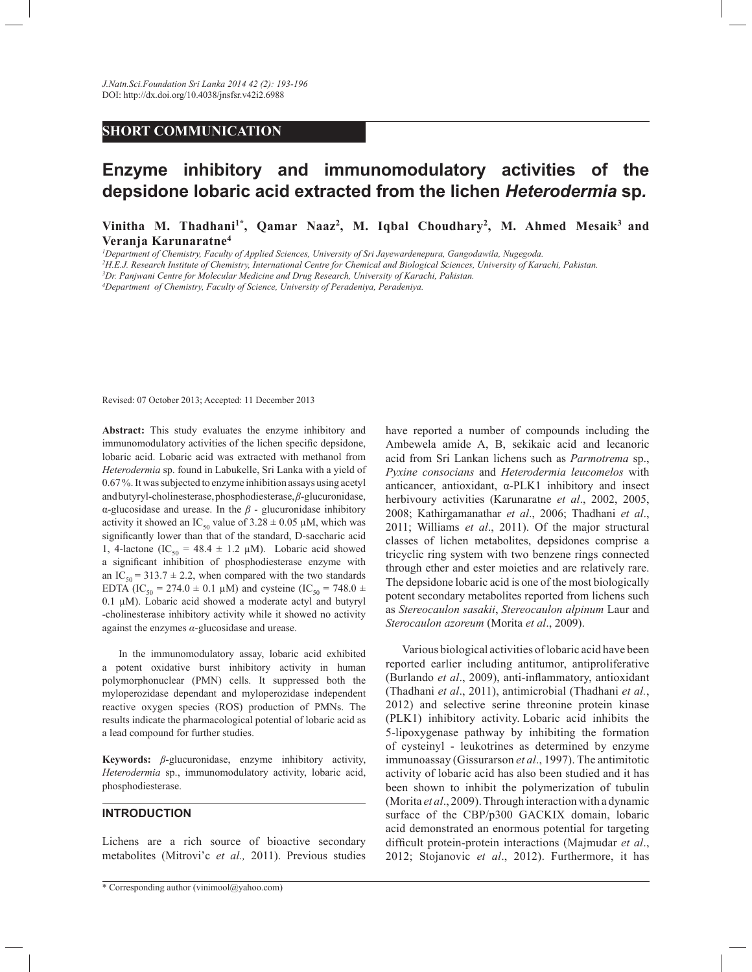## **SHORT COMMUNICATION**

# **Enzyme inhibitory and immunomodulatory activities of the depsidone lobaric acid extracted from the lichen** *Heterodermia* **sp***.*

**Vinitha M. Thadhani1\*, Qamar Naaz<sup>2</sup> , M. Iqbal Choudhary<sup>2</sup> , M. Ahmed Mesaik<sup>3</sup>and Veranja Karunaratne<sup>4</sup>**

*<sup>1</sup>Department of Chemistry, Faculty of Applied Sciences, University of Sri Jayewardenepura, Gangodawila, Nugegoda.*

*<sup>2</sup>H.E.J. Research Institute of Chemistry, International Centre for Chemical and Biological Sciences, University of Karachi, Pakistan.*

*<sup>3</sup>Dr. Panjwani Centre for Molecular Medicine and Drug Research, University of Karachi, Pakistan.*

*<sup>4</sup>Department of Chemistry, Faculty of Science, University of Peradeniya, Peradeniya.*

Revised: 07 October 2013; Accepted: 11 December 2013

**Abstract:** This study evaluates the enzyme inhibitory and immunomodulatory activities of the lichen specific depsidone, lobaric acid. Lobaric acid was extracted with methanol from *Heterodermia* sp. found in Labukelle, Sri Lanka with a yield of 0.67 %. It was subjected to enzyme inhibition assays using acetyl and butyryl-cholinesterase, phosphodiesterase, *β*-glucuronidase, α-glucosidase and urease. In the *β* - glucuronidase inhibitory activity it showed an IC<sub>50</sub> value of  $3.28 \pm 0.05$  µM, which was significantly lower than that of the standard, D-saccharic acid 1, 4-lactone (IC<sub>50</sub> = 48.4  $\pm$  1.2  $\mu$ M). Lobaric acid showed a significant inhibition of phosphodiesterase enzyme with an IC<sub>50</sub> = 313.7  $\pm$  2.2, when compared with the two standards EDTA (IC<sub>50</sub> = 274.0  $\pm$  0.1 µM) and cysteine (IC<sub>50</sub> = 748.0  $\pm$ 0.1 µM). Lobaric acid showed a moderate actyl and butyryl -cholinesterase inhibitory activity while it showed no activity against the enzymes *α*-glucosidase and urease.

 In the immunomodulatory assay, lobaric acid exhibited a potent oxidative burst inhibitory activity in human polymorphonuclear (PMN) cells. It suppressed both the myloperozidase dependant and myloperozidase independent reactive oxygen species (ROS) production of PMNs. The results indicate the pharmacological potential of lobaric acid as a lead compound for further studies.

**Keywords:** *β*-glucuronidase, enzyme inhibitory activity, *Heterodermia* sp., immunomodulatory activity, lobaric acid, phosphodiesterase.

### **INTRODUCTION**

Lichens are a rich source of bioactive secondary metabolites (Mitrovi'c *et al.,* 2011). Previous studies have reported a number of compounds including the Ambewela amide A, B, sekikaic acid and lecanoric acid from Sri Lankan lichens such as *Parmotrema* sp., *Pyxine consocians* and *Heterodermia leucomelos* with anticancer, antioxidant, α-PLK1 inhibitory and insect herbivoury activities (Karunaratne *et al*., 2002, 2005, 2008; Kathirgamanathar *et al*., 2006; Thadhani *et al*., 2011; Williams *et al*., 2011). Of the major structural classes of lichen metabolites, depsidones comprise a tricyclic ring system with two benzene rings connected through ether and ester moieties and are relatively rare. The depsidone lobaric acid is one of the most biologically potent secondary metabolites reported from lichens such as *Stereocaulon sasakii*, *Stereocaulon alpinum* Laur and *Sterocaulon azoreum* (Morita *et al*., 2009).

 Various biological activities of lobaric acid have been reported earlier including antitumor, antiproliferative (Burlando *et al*., 2009), anti-inflammatory, antioxidant (Thadhani *et al*., 2011), antimicrobial (Thadhani *et al.*, 2012) and selective serine threonine protein kinase (PLK1) inhibitory activity. Lobaric acid inhibits the 5-lipoxygenase pathway by inhibiting the formation of cysteinyl - leukotrines as determined by enzyme immunoassay (Gissurarson *et al*., 1997). The antimitotic activity of lobaric acid has also been studied and it has been shown to inhibit the polymerization of tubulin (Morita *et al*., 2009). Through interaction with a dynamic surface of the CBP/p300 GACKIX domain, lobaric acid demonstrated an enormous potential for targeting difficult protein-protein interactions (Majmudar *et al*., 2012; Stojanovic *et al*., 2012). Furthermore, it has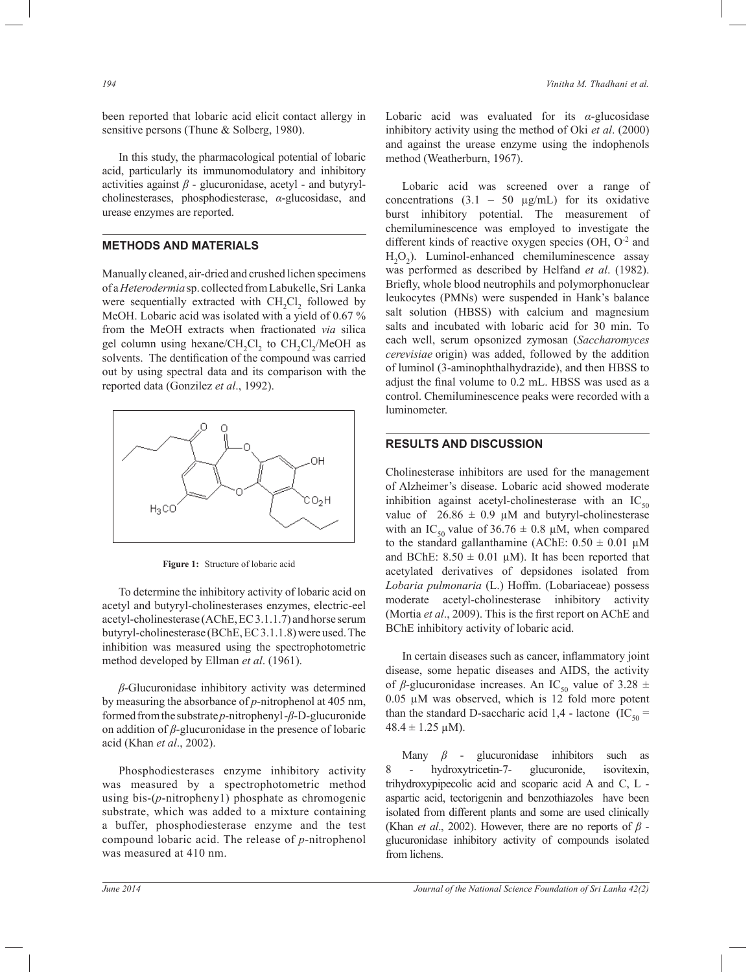been reported that lobaric acid elicit contact allergy in sensitive persons (Thune & Solberg, 1980).

 In this study, the pharmacological potential of lobaric acid, particularly its immunomodulatory and inhibitory activities against *β* - glucuronidase, acetyl - and butyrylcholinesterases, phosphodiesterase, *α*-glucosidase, and urease enzymes are reported.

#### **METHODS AND MATERIALS**

Manually cleaned, air-dried and crushed lichen specimens of a *Heterodermia* sp. collected from Labukelle, Sri Lanka were sequentially extracted with  $CH_2Cl_2$  followed by MeOH. Lobaric acid was isolated with a yield of 0.67 % from the MeOH extracts when fractionated *via* silica gel column using hexane/ $CH_2Cl_2$  to  $CH_2Cl_2/MeOH$  as solvents. The dentification of the compound was carried out by using spectral data and its comparison with the reported data (Gonzilez *et al*., 1992).



**Figure 1:** Structure of lobaric acid

 To determine the inhibitory activity of lobaric acid on acetyl and butyryl-cholinesterases enzymes, electric-eel acetyl-cholinesterase (AChE, EC 3.1.1.7) and horse serum butyryl-cholinesterase (BChE, EC 3.1.1.8) were used. The inhibition was measured using the spectrophotometric method developed by Ellman *et al*. (1961).

 *β*-Glucuronidase inhibitory activity was determined by measuring the absorbance of *p*-nitrophenol at 405 nm, formed from the substrate *p*-nitrophenyl -*β*-D-glucuronide on addition of *β*-glucuronidase in the presence of lobaric acid (Khan *et al*., 2002).

 Phosphodiesterases enzyme inhibitory activity was measured by a spectrophotometric method using bis-(*p*-nitropheny1) phosphate as chromogenic substrate, which was added to a mixture containing a buffer, phosphodiesterase enzyme and the test compound lobaric acid. The release of *p*-nitrophenol was measured at 410 nm.

Lobaric acid was evaluated for its *α*-glucosidase inhibitory activity using the method of Oki *et al*. (2000) and against the urease enzyme using the indophenols method (Weatherburn, 1967).

 Lobaric acid was screened over a range of concentrations  $(3.1 - 50 \mu g/mL)$  for its oxidative burst inhibitory potential. The measurement of chemiluminescence was employed to investigate the different kinds of reactive oxygen species (OH, O<sup>-2</sup> and  $H_2O_2$ ). Luminol-enhanced chemiluminescence assay was performed as described by Helfand *et al*. (1982). Briefly, whole blood neutrophils and polymorphonuclear leukocytes (PMNs) were suspended in Hank's balance salt solution (HBSS) with calcium and magnesium salts and incubated with lobaric acid for 30 min. To each well, serum opsonized zymosan (*Saccharomyces cerevisiae* origin) was added, followed by the addition of luminol (3-aminophthalhydrazide), and then HBSS to adjust the final volume to 0.2 mL. HBSS was used as a control. Chemiluminescence peaks were recorded with a luminometer.

#### **RESULTS AND DISCUSSION**

Cholinesterase inhibitors are used for the management of Alzheimer's disease. Lobaric acid showed moderate inhibition against acetyl-cholinesterase with an  $IC_{50}$ value of  $26.86 \pm 0.9 \mu M$  and butyryl-cholinesterase with an IC<sub>50</sub> value of 36.76  $\pm$  0.8 µM, when compared to the standard gallanthamine (AChE:  $0.50 \pm 0.01 \mu M$ and BChE:  $8.50 \pm 0.01 \mu M$ ). It has been reported that acetylated derivatives of depsidones isolated from *Lobaria pulmonaria* (L.) Hoffm. (Lobariaceae) possess moderate acetyl-cholinesterase inhibitory activity (Mortia *et al*., 2009). This is the first report on AChE and BChE inhibitory activity of lobaric acid.

 In certain diseases such as cancer, inflammatory joint disease, some hepatic diseases and AIDS, the activity of  $\beta$ -glucuronidase increases. An IC<sub>50</sub> value of 3.28 ± 0.05 µM was observed, which is 12 fold more potent than the standard D-saccharic acid 1,4 - lactone (IC<sub>50</sub> =  $48.4 \pm 1.25 \,\mu\text{M}$ ).

 Many *β* - glucuronidase inhibitors such as 8 - hydroxytricetin-7- glucuronide, isovitexin, trihydroxypipecolic acid and scoparic acid A and C, L aspartic acid, tectorigenin and benzothiazoles have been isolated from different plants and some are used clinically (Khan *et al*., 2002). However, there are no reports of *β*  glucuronidase inhibitory activity of compounds isolated from lichens.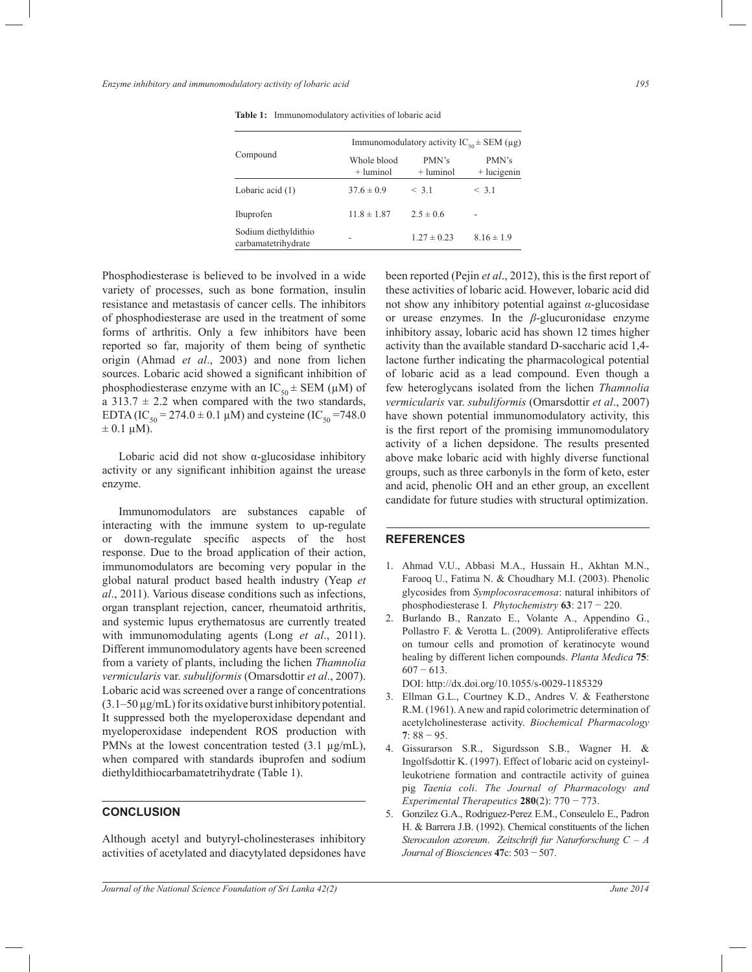| Compound                                    | Immunomodulatory activity $IC_{50} \pm SEM$ (µg) |                      |                        |
|---------------------------------------------|--------------------------------------------------|----------------------|------------------------|
|                                             | Whole blood<br>$+$ luminol                       | PMN's<br>$+$ luminol | PMN's<br>$+$ lucigenin |
| Lobaric acid (1)                            | $37.6 \pm 0.9$                                   | < 3.1                | < 3.1                  |
| Ibuprofen                                   | $11.8 \pm 1.87$                                  | $2.5 \pm 0.6$        | -                      |
| Sodium diethyldithio<br>carbamatetrihydrate |                                                  | $1.27 \pm 0.23$      | $8.16 \pm 1.9$         |

**Table 1:** Immunomodulatory activities of lobaric acid

Phosphodiesterase is believed to be involved in a wide variety of processes, such as bone formation, insulin resistance and metastasis of cancer cells. The inhibitors of phosphodiesterase are used in the treatment of some forms of arthritis. Only a few inhibitors have been reported so far, majority of them being of synthetic origin (Ahmad *et al*., 2003) and none from lichen sources. Lobaric acid showed a significant inhibition of phosphodiesterase enzyme with an  $IC_{50} \pm SEM (\mu M)$  of a 313.7  $\pm$  2.2 when compared with the two standards, EDTA (IC<sub>50</sub> = 274.0  $\pm$  0.1 µM) and cysteine (IC<sub>50</sub> = 748.0  $\pm$  0.1 µM).

 Lobaric acid did not show α-glucosidase inhibitory activity or any significant inhibition against the urease enzyme.

 Immunomodulators are substances capable of interacting with the immune system to up-regulate or down-regulate specific aspects of the host response. Due to the broad application of their action, immunomodulators are becoming very popular in the global natural product based health industry (Yeap *et al*., 2011). Various disease conditions such as infections, organ transplant rejection, cancer, rheumatoid arthritis, and systemic lupus erythematosus are currently treated with immunomodulating agents (Long *et al*., 2011). Different immunomodulatory agents have been screened from a variety of plants, including the lichen *Thamnolia vermicularis* var. *subuliformis* (Omarsdottir *et al*., 2007). Lobaric acid was screened over a range of concentrations  $(3.1–50 \,\mu\text{g/mL})$  for its oxidative burst inhibitory potential. It suppressed both the myeloperoxidase dependant and myeloperoxidase independent ROS production with PMNs at the lowest concentration tested  $(3.1 \text{ µg/mL})$ , when compared with standards ibuprofen and sodium diethyldithiocarbamatetrihydrate (Table 1).

#### **CONCLUSION**

Although acetyl and butyryl-cholinesterases inhibitory activities of acetylated and diacytylated depsidones have been reported (Pejin *et al*., 2012), this is the first report of these activities of lobaric acid. However, lobaric acid did not show any inhibitory potential against *α*-glucosidase or urease enzymes. In the *β*-glucuronidase enzyme inhibitory assay, lobaric acid has shown 12 times higher activity than the available standard D-saccharic acid 1,4 lactone further indicating the pharmacological potential of lobaric acid as a lead compound. Even though a few heteroglycans isolated from the lichen *Thamnolia vermicularis* var. *subuliformis* (Omarsdottir *et al*., 2007) have shown potential immunomodulatory activity, this is the first report of the promising immunomodulatory activity of a lichen depsidone. The results presented above make lobaric acid with highly diverse functional groups, such as three carbonyls in the form of keto, ester and acid, phenolic OH and an ether group, an excellent candidate for future studies with structural optimization.

#### **REFERENCES**

- 1. Ahmad V.U., Abbasi M.A., Hussain H., Akhtan M.N., Farooq U., Fatima N. & Choudhary M.I. (2003). Phenolic glycosides from *Symplocosracemosa*: natural inhibitors of phosphodiesterase I. *Phytochemistry* **63**: 217 − 220.
- 2. Burlando B., Ranzato E., Volante A., Appendino G., Pollastro F. & Verotta L. (2009). Antiproliferative effects on tumour cells and promotion of keratinocyte wound healing by different lichen compounds. *Planta Medica* **75**:  $607 - 613$ .

- 3. Ellman G.L., Courtney K.D., Andres V. & Featherstone R.M. (1961). A new and rapid colorimetric determination of acetylcholinesterase activity. *Biochemical Pharmacology* **7**: 88 − 95.
- 4. Gissurarson S.R., Sigurdsson S.B., Wagner H. & Ingolfsdottir K. (1997). Effect of lobaric acid on cysteinylleukotriene formation and contractile activity of guinea pig *Taenia coli*. *The Journal of Pharmacology and Experimental Therapeutics* **280**(2): 770 − 773.
- 5. Gonzilez G.A., Rodriguez-Perez E.M., Conseulelo E., Padron H. & Barrera J.B. (1992). Chemical constituents of the lichen *Sterocaulon azoreum*. *Zeitschrift fur Naturforschung C – A Journal of Biosciences* **47**c: 503 − 507.

DOI: http://dx.doi.org/10.1055/s-0029-1185329